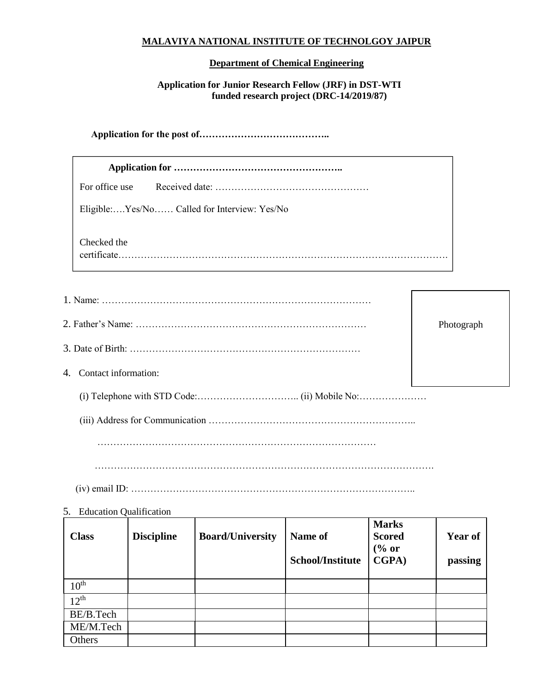## **MALAVIYA NATIONAL INSTITUTE OF TECHNOLGOY JAIPUR**

## **Department of Chemical Engineering**

## **Application for Junior Research Fellow (JRF) in DST-WTI funded research project (DRC-14/2019/87)**

**Application for the post of…………………………………..**

 $10<sup>th</sup>$  $12^{th}$ 

BE/B.Tech ME/M.Tech

Others

|                         | For office use                               |                   |                         |                         |                                                   |  |                |  |  |
|-------------------------|----------------------------------------------|-------------------|-------------------------|-------------------------|---------------------------------------------------|--|----------------|--|--|
|                         | Eligible:Yes/No Called for Interview: Yes/No |                   |                         |                         |                                                   |  |                |  |  |
|                         | Checked the                                  |                   |                         |                         |                                                   |  |                |  |  |
|                         |                                              |                   |                         |                         |                                                   |  |                |  |  |
|                         |                                              |                   |                         |                         |                                                   |  | Photograph     |  |  |
|                         |                                              |                   |                         |                         |                                                   |  |                |  |  |
| 4. Contact information: |                                              |                   |                         |                         |                                                   |  |                |  |  |
|                         |                                              |                   |                         |                         |                                                   |  |                |  |  |
|                         |                                              |                   |                         |                         |                                                   |  |                |  |  |
|                         |                                              |                   |                         |                         |                                                   |  |                |  |  |
|                         |                                              |                   |                         |                         |                                                   |  |                |  |  |
|                         |                                              |                   |                         |                         |                                                   |  |                |  |  |
|                         | 5. Education Qualification                   |                   |                         |                         |                                                   |  |                |  |  |
|                         | <b>Class</b>                                 | <b>Discipline</b> | <b>Board/University</b> | Name of                 | <b>Marks</b><br><b>Scored</b><br>$\frac{6}{6}$ or |  | <b>Year of</b> |  |  |
|                         |                                              |                   |                         | <b>School/Institute</b> | <b>CGPA</b> )                                     |  | passing        |  |  |